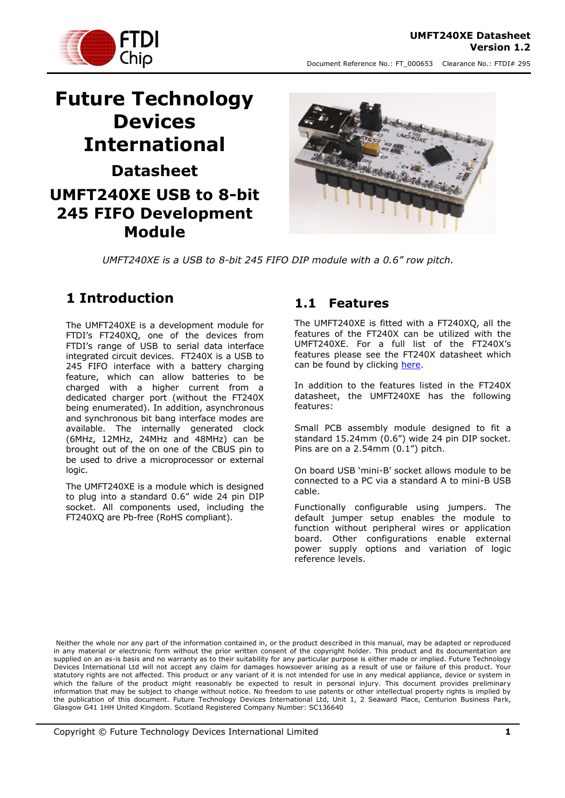

# **Future Technology Devices International Datasheet UMFT240XE USB to 8-bit 245 FIFO Development Module**



*UMFT240XE is a USB to 8-bit 245 FIFO DIP module with a 0.6" row pitch.*

## <span id="page-0-0"></span>**1 Introduction**

The UMFT240XE is a development module for FTDI's FT240XQ, one of the devices from FTDI's range of USB to serial data interface integrated circuit devices. FT240X is a USB to 245 FIFO interface with a battery charging feature, which can allow batteries to be charged with a higher current from a dedicated charger port (without the FT240X being enumerated). In addition, asynchronous and synchronous bit bang interface modes are available. The internally generated clock (6MHz, 12MHz, 24MHz and 48MHz) can be brought out of the on one of the CBUS pin to be used to drive a microprocessor or external logic.

The UMFT240XE is a module which is designed to plug into a standard 0.6" wide 24 pin DIP socket. All components used, including the FT240XQ are Pb-free (RoHS compliant).

#### <span id="page-0-1"></span>**1.1 Features**

The UMFT240XE is fitted with a FT240XQ, all the features of the FT240X can be utilized with the UMFT240XE. For a full list of the FT240X's features please see the FT240X datasheet which can be found by clicking [here.](http://www.ftdichip.com/Support/Documents/DataSheets/ICs/DS_FT240X.pdf)

In addition to the features listed in the FT240X datasheet, the UMFT240XE has the following features:

Small PCB assembly module designed to fit a standard 15.24mm (0.6") wide 24 pin DIP socket. Pins are on a 2.54mm (0.1") pitch.

On board USB 'mini-B' socket allows module to be connected to a PC via a standard A to mini-B USB cable.

Functionally configurable using jumpers. The default jumper setup enables the module to function without peripheral wires or application board. Other configurations enable external power supply options and variation of logic reference levels.

Neither the whole nor any part of the information contained in, or the product described in this manual, may be adapted or reproduced in any material or electronic form without the prior written consent of the copyright holder. This product and its documentation are supplied on an as-is basis and no warranty as to their suitability for any particular purpose is either made or implied. Future Technology Devices International Ltd will not accept any claim for damages howsoever arising as a result of use or failure of this product. Your statutory rights are not affected. This product or any variant of it is not intended for use in any medical appliance, device or system in which the failure of the product might reasonably be expected to result in personal injury. This document provides preliminary information that may be subject to change without notice. No freedom to use patents or other intellectual property rights is implied by the publication of this document. Future Technology Devices International Ltd, Unit 1, 2 Seaward Place, Centurion Business Park, Glasgow G41 1HH United Kingdom. Scotland Registered Company Number: SC136640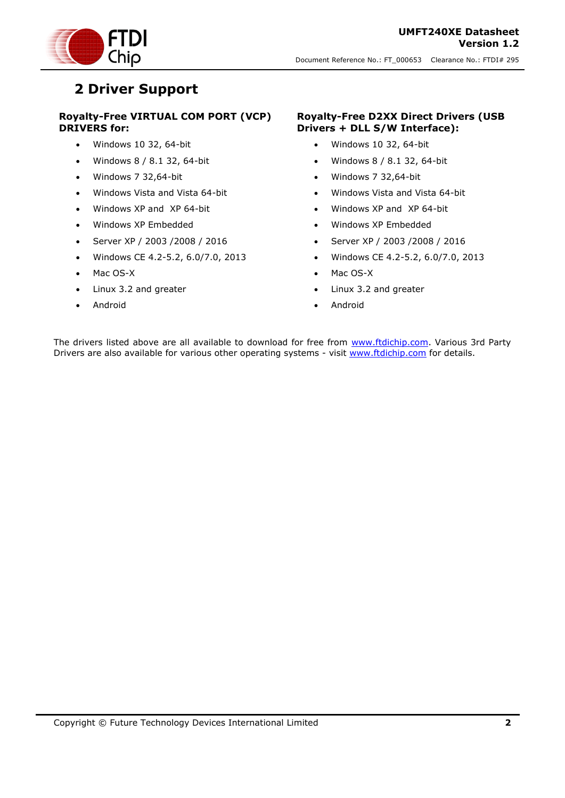

## <span id="page-1-0"></span>**2 Driver Support**

#### **Royalty-Free VIRTUAL COM PORT (VCP) DRIVERS for:**

- Windows 10 32, 64-bit
- Windows 8 / 8.1 32, 64-bit
- Windows 7 32,64-bit
- Windows Vista and Vista 64-bit
- Windows XP and XP 64-bit
- Windows XP Embedded
- Server XP / 2003 /2008 / 2016
- Windows CE 4.2-5.2, 6.0/7.0, 2013
- Mac OS-X
- Linux 3.2 and greater
- Android

#### **Royalty-Free D2XX Direct Drivers (USB Drivers + DLL S/W Interface):**

- Windows 10 32, 64-bit
- Windows 8 / 8.1 32, 64-bit
- Windows 7 32,64-bit
- Windows Vista and Vista 64-bit
- Windows XP and XP 64-bit
- Windows XP Embedded
- Server XP / 2003 /2008 / 2016
- Windows CE 4.2-5.2, 6.0/7.0, 2013
- Mac OS-X
- Linux 3.2 and greater
- Android

The drivers listed above are all available to download for free from [www.ftdichip.com.](http://www.ftdichip.com/) Various 3rd Party Drivers are also available for various other operating systems - visit [www.ftdichip.com](http://www.ftdichip.com/) for details.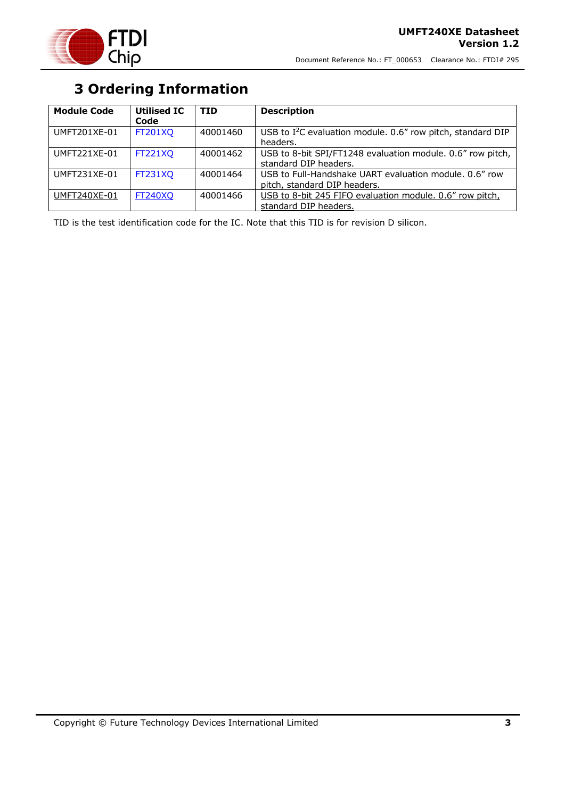

# **3 Ordering Information**

<span id="page-2-0"></span>

| <b>Module Code</b>  | <b>Utilised IC</b><br>Code | <b>TID</b> | <b>Description</b>                                                                     |
|---------------------|----------------------------|------------|----------------------------------------------------------------------------------------|
| UMFT201XE-01        | <b>FT201XQ</b>             | 40001460   | USB to I <sup>2</sup> C evaluation module. 0.6" row pitch, standard DIP<br>headers.    |
| UMFT221XE-01        | <b>FT221XQ</b>             | 40001462   | USB to 8-bit SPI/FT1248 evaluation module. 0.6" row pitch,<br>standard DIP headers.    |
| UMFT231XE-01        | <b>FT231XQ</b>             | 40001464   | USB to Full-Handshake UART evaluation module, 0.6" row<br>pitch, standard DIP headers. |
| <b>UMFT240XE-01</b> | <b>FT240XQ</b>             | 40001466   | USB to 8-bit 245 FIFO evaluation module. 0.6" row pitch,<br>standard DIP headers.      |

TID is the test identification code for the IC. Note that this TID is for revision D silicon.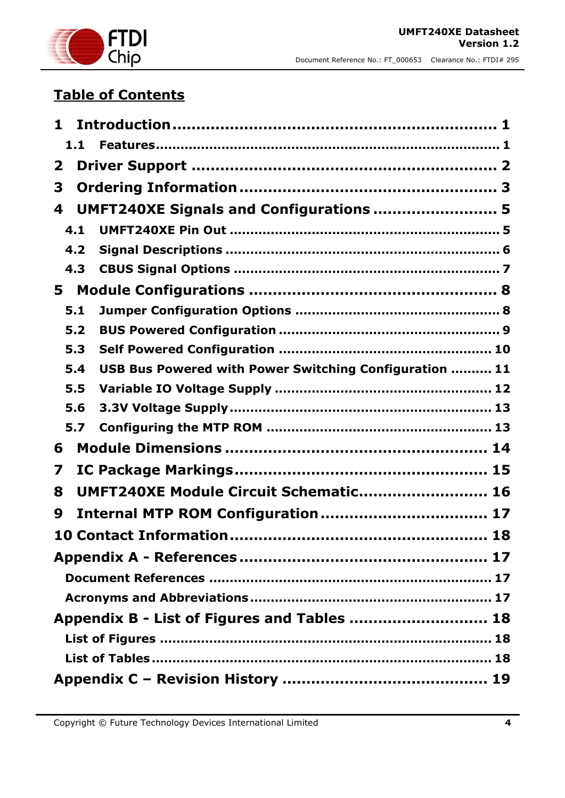

# **Table of Contents**

| 1.1                                                           |  |  |
|---------------------------------------------------------------|--|--|
| $\mathbf{2}$                                                  |  |  |
| 3                                                             |  |  |
| UMFT240XE Signals and Configurations  5<br>4                  |  |  |
| 4.1                                                           |  |  |
| 4.2                                                           |  |  |
| 4.3                                                           |  |  |
| 5                                                             |  |  |
| 5.1                                                           |  |  |
| 5.2                                                           |  |  |
| 5.3                                                           |  |  |
| USB Bus Powered with Power Switching Configuration  11<br>5.4 |  |  |
| 5.5                                                           |  |  |
| 5.6                                                           |  |  |
| 5.7                                                           |  |  |
| 6                                                             |  |  |
| 7                                                             |  |  |
| UMFT240XE Module Circuit Schematic 16<br>8                    |  |  |
| 9                                                             |  |  |
|                                                               |  |  |
|                                                               |  |  |
|                                                               |  |  |
|                                                               |  |  |
| Appendix B - List of Figures and Tables  18                   |  |  |
|                                                               |  |  |
|                                                               |  |  |
|                                                               |  |  |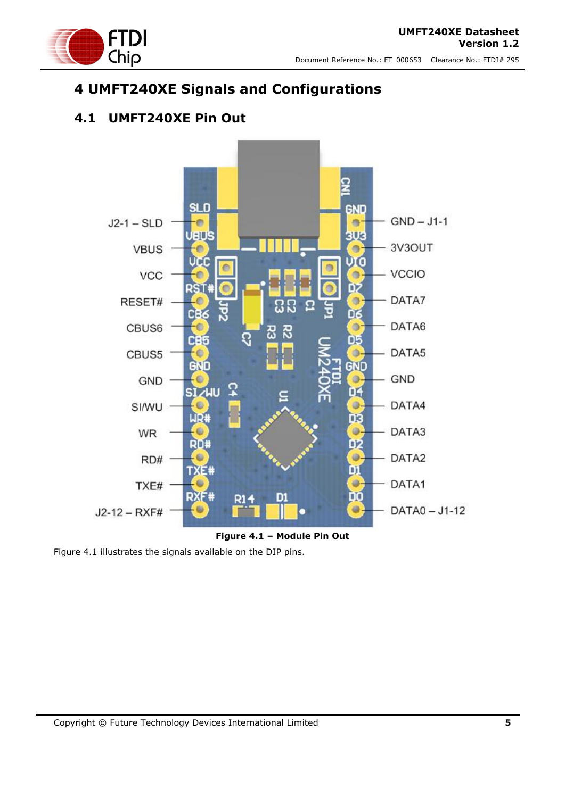

## <span id="page-4-0"></span>**4 UMFT240XE Signals and Configurations**

### <span id="page-4-1"></span>**4.1 UMFT240XE Pin Out**





<span id="page-4-2"></span>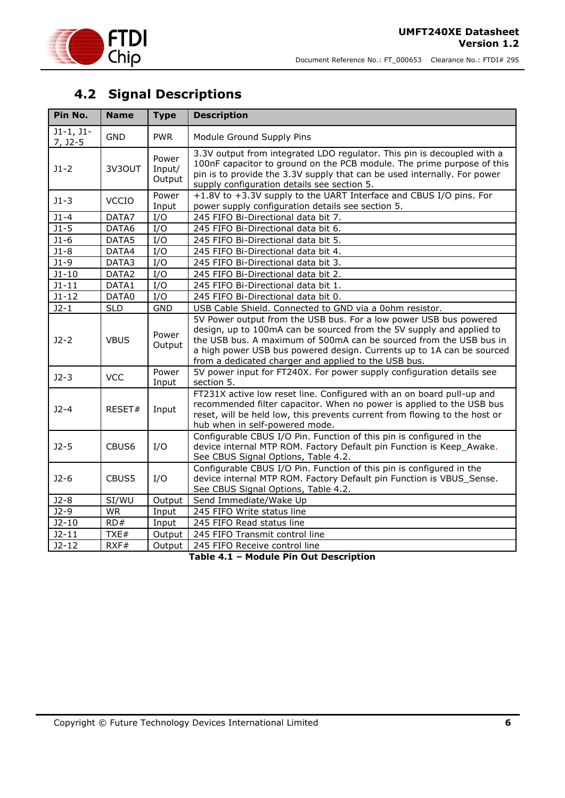

## <span id="page-5-0"></span>**4.2 Signal Descriptions**

| Pin No.                  | <b>Name</b>       | <b>Type</b>               | <b>Description</b>                                                                                                                                                                                                                                                                                                                               |
|--------------------------|-------------------|---------------------------|--------------------------------------------------------------------------------------------------------------------------------------------------------------------------------------------------------------------------------------------------------------------------------------------------------------------------------------------------|
| $J1-1, J1-$<br>$7, 32-5$ | <b>GND</b>        | <b>PWR</b>                | Module Ground Supply Pins                                                                                                                                                                                                                                                                                                                        |
| $J1 - 2$                 | 3V3OUT            | Power<br>Input/<br>Output | 3.3V output from integrated LDO regulator. This pin is decoupled with a<br>100nF capacitor to ground on the PCB module. The prime purpose of this<br>pin is to provide the 3.3V supply that can be used internally. For power<br>supply configuration details see section 5.                                                                     |
| $J1-3$                   | <b>VCCIO</b>      | Power<br>Input            | +1.8V to +3.3V supply to the UART Interface and CBUS I/O pins. For<br>power supply configuration details see section 5.                                                                                                                                                                                                                          |
| $J1 - 4$                 | DATA7             | I/O                       | 245 FIFO Bi-Directional data bit 7.                                                                                                                                                                                                                                                                                                              |
| $J1 - 5$                 | DATA6             | I/O                       | 245 FIFO Bi-Directional data bit 6.                                                                                                                                                                                                                                                                                                              |
| $J1-6$                   | DATA5             | I/O                       | 245 FIFO Bi-Directional data bit 5.                                                                                                                                                                                                                                                                                                              |
| $J1-8$                   | DATA4             | I/O                       | 245 FIFO Bi-Directional data bit 4.                                                                                                                                                                                                                                                                                                              |
| $J1-9$                   | DATA3             | I/O                       | 245 FIFO Bi-Directional data bit 3.                                                                                                                                                                                                                                                                                                              |
| $J1 - 10$                | DATA2             | I/O                       | 245 FIFO Bi-Directional data bit 2.                                                                                                                                                                                                                                                                                                              |
| $J1 - 11$                | DATA1             | I/O                       | 245 FIFO Bi-Directional data bit 1.                                                                                                                                                                                                                                                                                                              |
| $J1 - 12$                | DATA0             | I/O                       | 245 FIFO Bi-Directional data bit 0.                                                                                                                                                                                                                                                                                                              |
| $J2-1$                   | <b>SLD</b>        | <b>GND</b>                | USB Cable Shield. Connected to GND via a 0ohm resistor.                                                                                                                                                                                                                                                                                          |
| $J2-2$                   | <b>VBUS</b>       | Power<br>Output           | 5V Power output from the USB bus. For a low power USB bus powered<br>design, up to 100mA can be sourced from the 5V supply and applied to<br>the USB bus. A maximum of 500mA can be sourced from the USB bus in<br>a high power USB bus powered design. Currents up to 1A can be sourced<br>from a dedicated charger and applied to the USB bus. |
| $J2-3$                   | <b>VCC</b>        | Power<br>Input            | 5V power input for FT240X. For power supply configuration details see<br>section 5.                                                                                                                                                                                                                                                              |
| $J2-4$                   | RESET#            | Input                     | FT231X active low reset line. Configured with an on board pull-up and<br>recommended filter capacitor. When no power is applied to the USB bus<br>reset, will be held low, this prevents current from flowing to the host or<br>hub when in self-powered mode.                                                                                   |
| $J2-5$                   | CBUS <sub>6</sub> | I/O                       | Configurable CBUS I/O Pin. Function of this pin is configured in the<br>device internal MTP ROM. Factory Default pin Function is Keep_Awake.<br>See CBUS Signal Options, Table 4.2.                                                                                                                                                              |
| $J2-6$                   | CBUS5             | I/O                       | Configurable CBUS I/O Pin. Function of this pin is configured in the<br>device internal MTP ROM. Factory Default pin Function is VBUS_Sense.<br>See CBUS Signal Options, Table 4.2.                                                                                                                                                              |
| $J2-8$                   | SI/WU             | Output                    | Send Immediate/Wake Up                                                                                                                                                                                                                                                                                                                           |
| $J2-9$                   | <b>WR</b>         | Input                     | 245 FIFO Write status line                                                                                                                                                                                                                                                                                                                       |
| $J2-10$                  | RD#               | Input                     | 245 FIFO Read status line                                                                                                                                                                                                                                                                                                                        |
| $J2 - 11$                | TXE#              | Output                    | 245 FIFO Transmit control line                                                                                                                                                                                                                                                                                                                   |
| $J2 - 12$                | RXF#              | Output                    | 245 FIFO Receive control line                                                                                                                                                                                                                                                                                                                    |

<span id="page-5-1"></span>**Table 4.1 – Module Pin Out Description**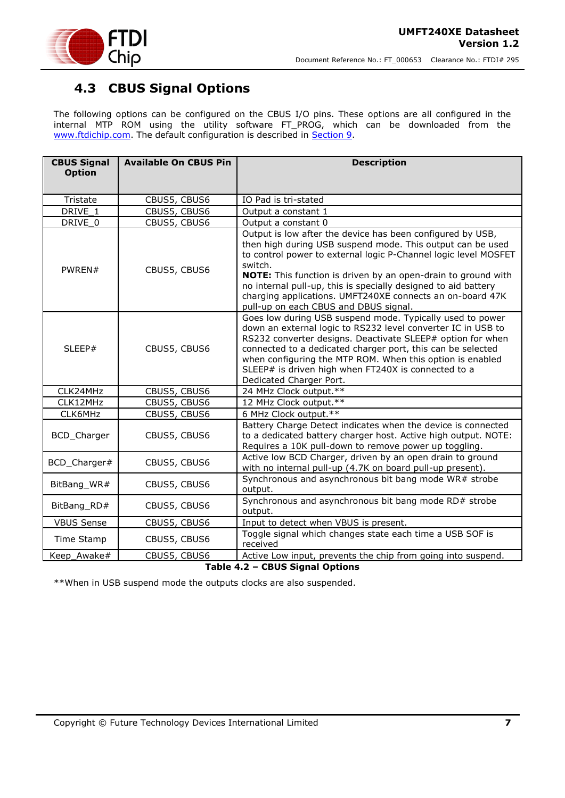

### <span id="page-6-0"></span>**4.3 CBUS Signal Options**

The following options can be configured on the CBUS I/O pins. These options are all configured in the internal MTP ROM using the utility software FT\_PROG, which can be downloaded from the [www.ftdichip.com.](http://www.ftdichip.com/) The default configuration is described in [Section 9.](file:///C:/Documents%20and%20Settings/ian.dunn/My%20Documents/SharePoint%20Drafts/DS_UMFT231XA-01.doc%23_Internal_EEPROM_Configuration)

| <b>CBUS Signal</b>              | <b>Available On CBUS Pin</b> | <b>Description</b>                                                                                                                                                                                                                                                                                                                                                                                                                              |  |
|---------------------------------|------------------------------|-------------------------------------------------------------------------------------------------------------------------------------------------------------------------------------------------------------------------------------------------------------------------------------------------------------------------------------------------------------------------------------------------------------------------------------------------|--|
| <b>Option</b>                   |                              |                                                                                                                                                                                                                                                                                                                                                                                                                                                 |  |
|                                 |                              |                                                                                                                                                                                                                                                                                                                                                                                                                                                 |  |
| Tristate                        | CBUS5, CBUS6                 | IO Pad is tri-stated                                                                                                                                                                                                                                                                                                                                                                                                                            |  |
| DRIVE 1                         | CBUS5, CBUS6                 | Output a constant 1                                                                                                                                                                                                                                                                                                                                                                                                                             |  |
| DRIVE 0                         | CBUS5, CBUS6                 | Output a constant 0                                                                                                                                                                                                                                                                                                                                                                                                                             |  |
| PWREN#                          | CBUS5, CBUS6                 | Output is low after the device has been configured by USB,<br>then high during USB suspend mode. This output can be used<br>to control power to external logic P-Channel logic level MOSFET<br>switch.<br>NOTE: This function is driven by an open-drain to ground with<br>no internal pull-up, this is specially designed to aid battery<br>charging applications. UMFT240XE connects an on-board 47K<br>pull-up on each CBUS and DBUS signal. |  |
| SLEEP#                          | CBUS5, CBUS6                 | Goes low during USB suspend mode. Typically used to power<br>down an external logic to RS232 level converter IC in USB to<br>RS232 converter designs. Deactivate SLEEP# option for when<br>connected to a dedicated charger port, this can be selected<br>when configuring the MTP ROM. When this option is enabled<br>SLEEP# is driven high when FT240X is connected to a<br>Dedicated Charger Port.                                           |  |
| CLK24MHz                        | CBUS5, CBUS6                 | 24 MHz Clock output.**                                                                                                                                                                                                                                                                                                                                                                                                                          |  |
| CLK12MHz                        | CBUS5, CBUS6                 | 12 MHz Clock output.**                                                                                                                                                                                                                                                                                                                                                                                                                          |  |
| CLK6MHz                         | CBUS5, CBUS6                 | 6 MHz Clock output.**                                                                                                                                                                                                                                                                                                                                                                                                                           |  |
| BCD_Charger                     | CBUS5, CBUS6                 | Battery Charge Detect indicates when the device is connected<br>to a dedicated battery charger host. Active high output. NOTE:<br>Requires a 10K pull-down to remove power up toggling.                                                                                                                                                                                                                                                         |  |
| BCD_Charger#                    | CBUS5, CBUS6                 | Active low BCD Charger, driven by an open drain to ground<br>with no internal pull-up (4.7K on board pull-up present).                                                                                                                                                                                                                                                                                                                          |  |
| BitBang_WR#                     | CBUS5, CBUS6                 | Synchronous and asynchronous bit bang mode WR# strobe<br>output.                                                                                                                                                                                                                                                                                                                                                                                |  |
| BitBang_RD#                     | CBUS5, CBUS6                 | Synchronous and asynchronous bit bang mode RD# strobe<br>output.                                                                                                                                                                                                                                                                                                                                                                                |  |
| <b>VBUS Sense</b>               | CBUS5, CBUS6                 | Input to detect when VBUS is present.                                                                                                                                                                                                                                                                                                                                                                                                           |  |
| Time Stamp                      | CBUS5, CBUS6                 | Toggle signal which changes state each time a USB SOF is<br>received                                                                                                                                                                                                                                                                                                                                                                            |  |
| Keep_Awake#                     | CBUS5, CBUS6                 | Active Low input, prevents the chip from going into suspend.                                                                                                                                                                                                                                                                                                                                                                                    |  |
| Table 4.2 - CBUS Signal Options |                              |                                                                                                                                                                                                                                                                                                                                                                                                                                                 |  |

<span id="page-6-1"></span>\*\*When in USB suspend mode the outputs clocks are also suspended.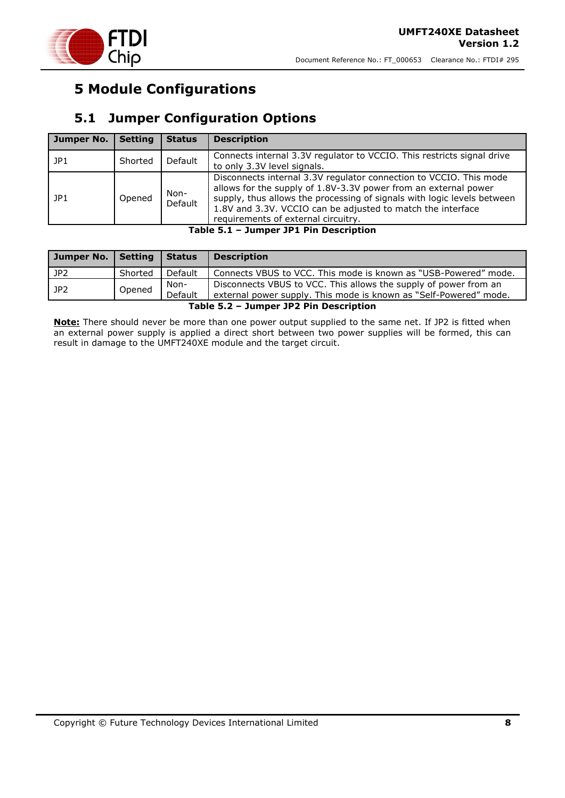

## <span id="page-7-0"></span>**5 Module Configurations**

### <span id="page-7-1"></span>**5.1 Jumper Configuration Options**

| Jumper No. | <b>Setting</b> | <b>Status</b>                                                                                                                                                                                                                                                                                                                             | <b>Description</b>                                                                                    |
|------------|----------------|-------------------------------------------------------------------------------------------------------------------------------------------------------------------------------------------------------------------------------------------------------------------------------------------------------------------------------------------|-------------------------------------------------------------------------------------------------------|
| JP1        | Shorted        | Default                                                                                                                                                                                                                                                                                                                                   | Connects internal 3.3V regulator to VCCIO. This restricts signal drive<br>to only 3.3V level signals. |
| JPI        | Opened         | Disconnects internal 3.3V regulator connection to VCCIO. This mode<br>allows for the supply of 1.8V-3.3V power from an external power<br>Non-<br>supply, thus allows the processing of signals with logic levels between<br>Default<br>1.8V and 3.3V. VCCIO can be adjusted to match the interface<br>requirements of external circuitry. |                                                                                                       |

**Table 5.1 – Jumper JP1 Pin Description**

<span id="page-7-2"></span>

| Jumper No.   Setting                   |         | Status          | <b>Description</b>                                                                                                                    |
|----------------------------------------|---------|-----------------|---------------------------------------------------------------------------------------------------------------------------------------|
| JP <sub>2</sub>                        | Shorted | Default         | Connects VBUS to VCC. This mode is known as "USB-Powered" mode.                                                                       |
| JP2                                    | Opened  | Non-<br>Default | Disconnects VBUS to VCC. This allows the supply of power from an<br>external power supply. This mode is known as "Self-Powered" mode. |
| Table 5.2 - Jumper JP2 Pin Description |         |                 |                                                                                                                                       |

<span id="page-7-3"></span>**Note:** There should never be more than one power output supplied to the same net. If JP2 is fitted when an external power supply is applied a direct short between two power supplies will be formed, this can result in damage to the UMFT240XE module and the target circuit.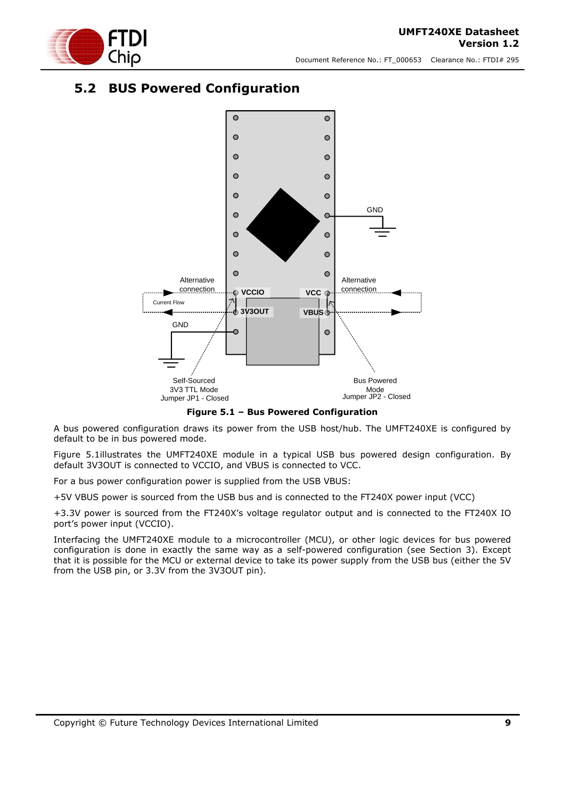

### <span id="page-8-0"></span>**5.2 BUS Powered Configuration**



**Figure 5.1 – Bus Powered Configuration**

<span id="page-8-1"></span>A bus powered configuration draws its power from the USB host/hub. The UMFT240XE is configured by default to be in bus powered mode.

[Figure 5.1i](#page-8-1)llustrates the UMFT240XE module in a typical USB bus powered design configuration. By default 3V3OUT is connected to VCCIO, and VBUS is connected to VCC.

For a bus power configuration power is supplied from the USB VBUS:

+5V VBUS power is sourced from the USB bus and is connected to the FT240X power input (VCC)

+3.3V power is sourced from the FT240X's voltage regulator output and is connected to the FT240X IO port's power input (VCCIO).

Interfacing the UMFT240XE module to a microcontroller (MCU), or other logic devices for bus powered configuration is done in exactly the same way as a self-powered configuration (see Section 3). Except that it is possible for the MCU or external device to take its power supply from the USB bus (either the 5V from the USB pin, or 3.3V from the 3V3OUT pin).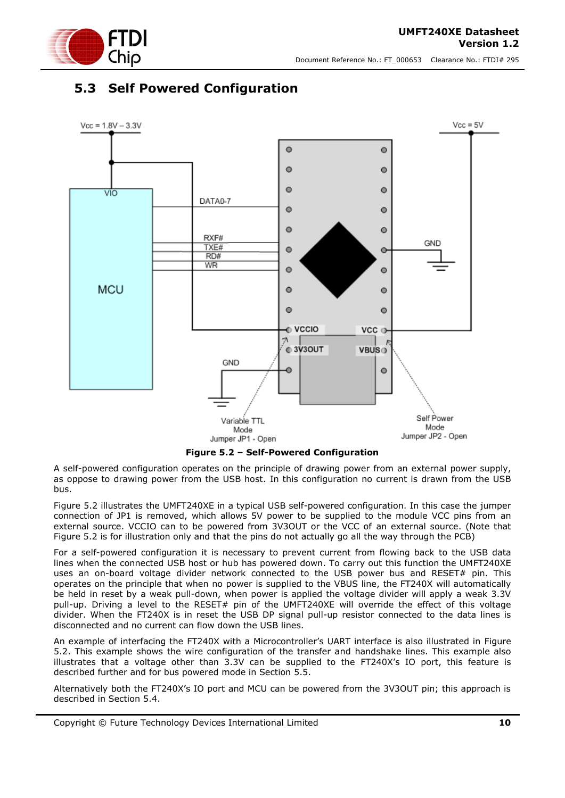

### <span id="page-9-0"></span>**5.3 Self Powered Configuration**





<span id="page-9-1"></span>A self-powered configuration operates on the principle of drawing power from an external power supply, as oppose to drawing power from the USB host. In this configuration no current is drawn from the USB bus.

[Figure 5.2](#page-9-1) illustrates the UMFT240XE in a typical USB self-powered configuration. In this case the jumper connection of JP1 is removed, which allows 5V power to be supplied to the module VCC pins from an external source. VCCIO can to be powered from 3V3OUT or the VCC of an external source. (Note that Figure 5.2 is for illustration only and that the pins do not actually go all the way through the PCB)

For a self-powered configuration it is necessary to prevent current from flowing back to the USB data lines when the connected USB host or hub has powered down. To carry out this function the UMFT240XE uses an on-board voltage divider network connected to the USB power bus and RESET# pin. This operates on the principle that when no power is supplied to the VBUS line, the FT240X will automatically be held in reset by a weak pull-down, when power is applied the voltage divider will apply a weak 3.3V pull-up. Driving a level to the RESET# pin of the UMFT240XE will override the effect of this voltage divider. When the FT240X is in reset the USB DP signal pull-up resistor connected to the data lines is disconnected and no current can flow down the USB lines.

An example of interfacing the FT240X with a Microcontroller's UART interface is also illustrated in [Figure](#page-9-1)  [5.2.](#page-9-1) This example shows the wire configuration of the transfer and handshake lines. This example also illustrates that a voltage other than 3.3V can be supplied to the FT240X's IO port, this feature is described further and for bus powered mode in Section [5.5.](#page-11-0)

Alternatively both the FT240X's IO port and MCU can be powered from the 3V3OUT pin; this approach is described in Section [5.4.](#page-10-0)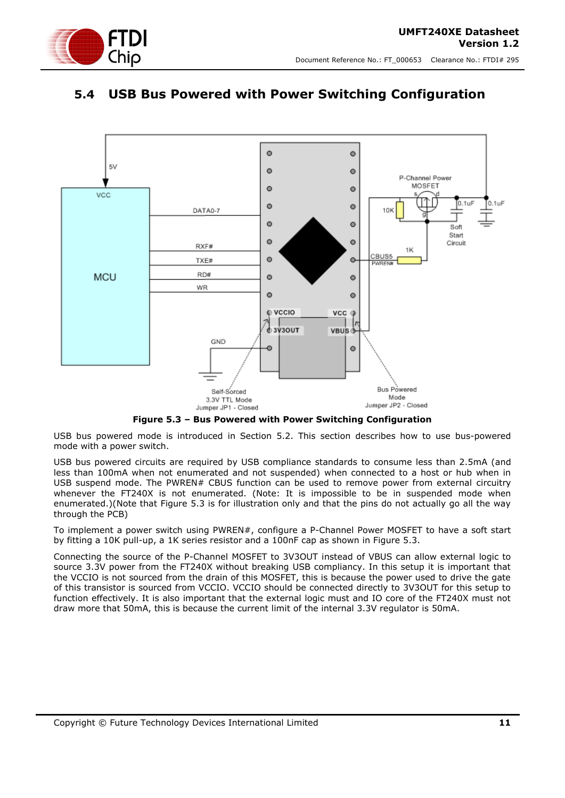

### <span id="page-10-0"></span>**5.4 USB Bus Powered with Power Switching Configuration**



**Figure 5.3 – Bus Powered with Power Switching Configuration**

<span id="page-10-1"></span>USB bus powered mode is introduced in Section [5.2.](#page-8-0) This section describes how to use bus-powered mode with a power switch.

USB bus powered circuits are required by USB compliance standards to consume less than 2.5mA (and less than 100mA when not enumerated and not suspended) when connected to a host or hub when in USB suspend mode. The PWREN# CBUS function can be used to remove power from external circuitry whenever the FT240X is not enumerated. (Note: It is impossible to be in suspended mode when enumerated.)(Note that Figure 5.3 is for illustration only and that the pins do not actually go all the way through the PCB)

To implement a power switch using PWREN#, configure a P-Channel Power MOSFET to have a soft start by fitting a 10K pull-up, a 1K series resistor and a 100nF cap as shown in [Figure 5.3.](#page-10-1)

Connecting the source of the P-Channel MOSFET to 3V3OUT instead of VBUS can allow external logic to source 3.3V power from the FT240X without breaking USB compliancy. In this setup it is important that the VCCIO is not sourced from the drain of this MOSFET, this is because the power used to drive the gate of this transistor is sourced from VCCIO. VCCIO should be connected directly to 3V3OUT for this setup to function effectively. It is also important that the external logic must and IO core of the FT240X must not draw more that 50mA, this is because the current limit of the internal 3.3V regulator is 50mA.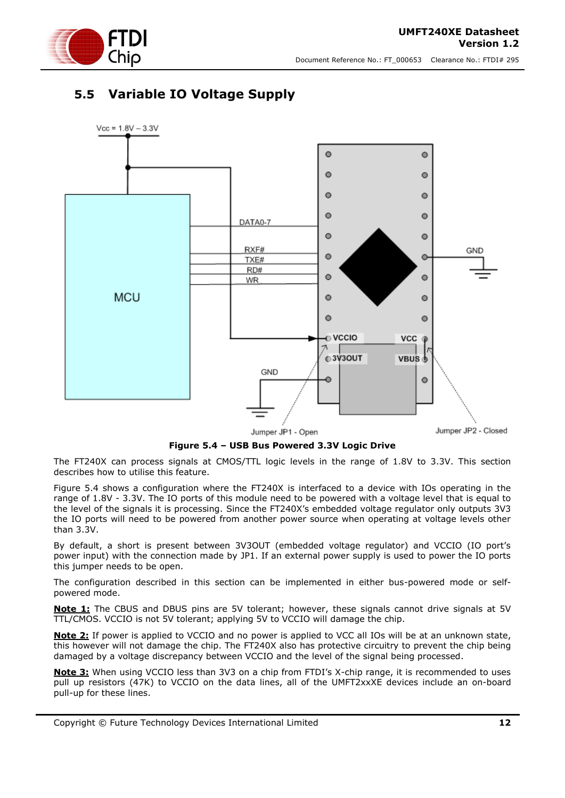



### <span id="page-11-0"></span>**5.5 Variable IO Voltage Supply**



**Figure 5.4 – USB Bus Powered 3.3V Logic Drive**

<span id="page-11-1"></span>The FT240X can process signals at CMOS/TTL logic levels in the range of 1.8V to 3.3V. This section describes how to utilise this feature.

[Figure 5.4](#page-11-1) shows a configuration where the FT240X is interfaced to a device with IOs operating in the range of 1.8V - 3.3V. The IO ports of this module need to be powered with a voltage level that is equal to the level of the signals it is processing. Since the FT240X's embedded voltage regulator only outputs 3V3 the IO ports will need to be powered from another power source when operating at voltage levels other than 3.3V.

By default, a short is present between 3V3OUT (embedded voltage regulator) and VCCIO (IO port's power input) with the connection made by JP1. If an external power supply is used to power the IO ports this jumper needs to be open.

The configuration described in this section can be implemented in either bus-powered mode or selfpowered mode.

**Note 1:** The CBUS and DBUS pins are 5V tolerant; however, these signals cannot drive signals at 5V TTL/CMOS. VCCIO is not 5V tolerant; applying 5V to VCCIO will damage the chip.

**Note 2:** If power is applied to VCCIO and no power is applied to VCC all IOs will be at an unknown state, this however will not damage the chip. The FT240X also has protective circuitry to prevent the chip being damaged by a voltage discrepancy between VCCIO and the level of the signal being processed.

**Note 3:** When using VCCIO less than 3V3 on a chip from FTDI's X-chip range, it is recommended to uses pull up resistors (47K) to VCCIO on the data lines, all of the UMFT2xxXE devices include an on-board pull-up for these lines.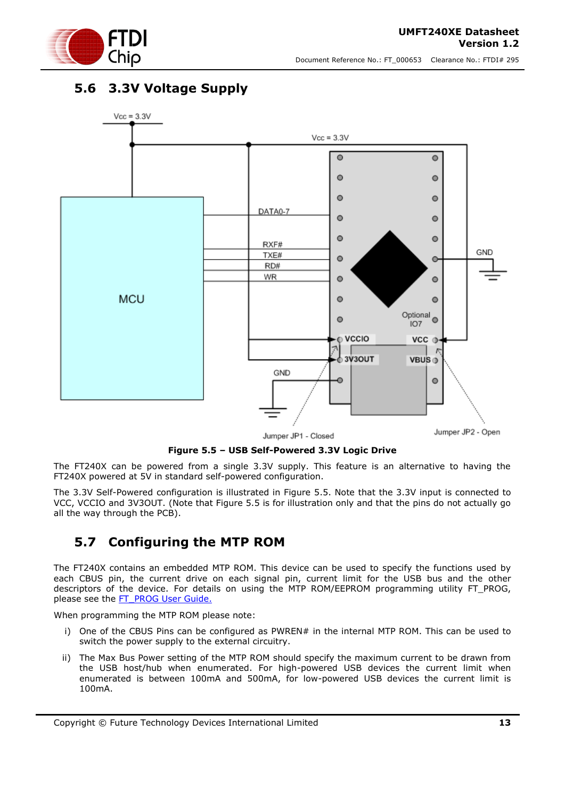

### <span id="page-12-0"></span>**5.6 3.3V Voltage Supply**



Jumper JP1 - Closed

Jumper JP2 - Open

**Figure 5.5 – USB Self-Powered 3.3V Logic Drive**

<span id="page-12-2"></span>The FT240X can be powered from a single 3.3V supply. This feature is an alternative to having the FT240X powered at 5V in standard self-powered configuration.

The 3.3V Self-Powered configuration is illustrated in [Figure 5.5.](#page-12-2) Note that the 3.3V input is connected to VCC, VCCIO and 3V3OUT. (Note that Figure 5.5 is for illustration only and that the pins do not actually go all the way through the PCB).

#### <span id="page-12-1"></span>**5.7 Configuring the MTP ROM**

The FT240X contains an embedded MTP ROM. This device can be used to specify the functions used by each CBUS pin, the current drive on each signal pin, current limit for the USB bus and the other descriptors of the device. For details on using the MTP ROM/EEPROM programming utility FT\_PROG, please see the [FT\\_PROG User Guide.](http://www.ftdichip.com/Support/Documents/AppNotes/AN_124_User_Guide_For_FT_PROG.pdf)

When programming the MTP ROM please note:

- i) One of the CBUS Pins can be configured as PWREN# in the internal MTP ROM. This can be used to switch the power supply to the external circuitry.
- ii) The Max Bus Power setting of the MTP ROM should specify the maximum current to be drawn from the USB host/hub when enumerated. For high-powered USB devices the current limit when enumerated is between 100mA and 500mA, for low-powered USB devices the current limit is 100mA.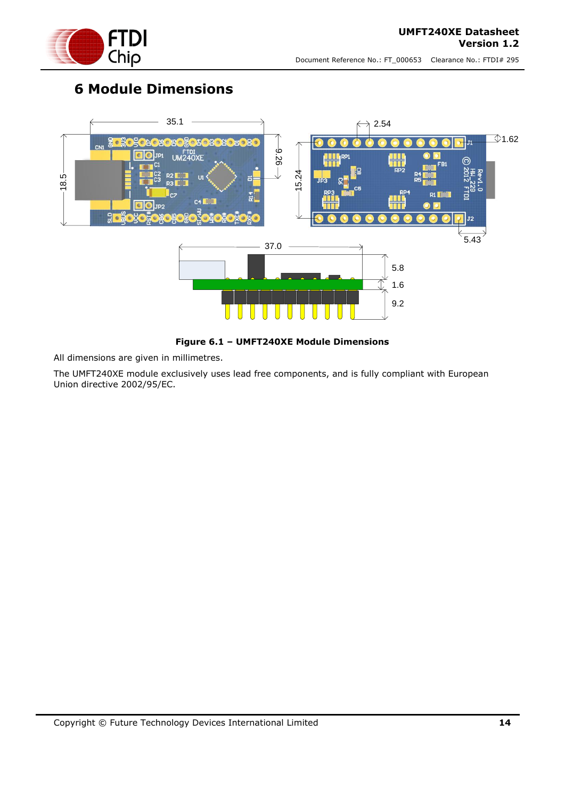

## <span id="page-13-0"></span>**6 Module Dimensions**



**Figure 6.1 – UMFT240XE Module Dimensions**

<span id="page-13-1"></span>All dimensions are given in millimetres.

The UMFT240XE module exclusively uses lead free components, and is fully compliant with European Union directive 2002/95/EC.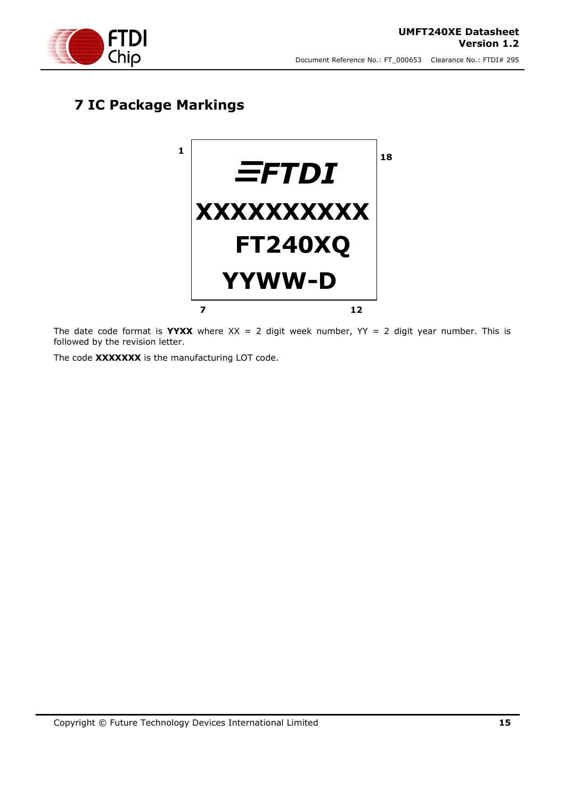

## <span id="page-14-0"></span>**7 IC Package Markings**



The date code format is **YYXX** where  $XX = 2$  digit week number,  $YY = 2$  digit year number. This is followed by the revision letter.

The code **XXXXXXX** is the manufacturing LOT code.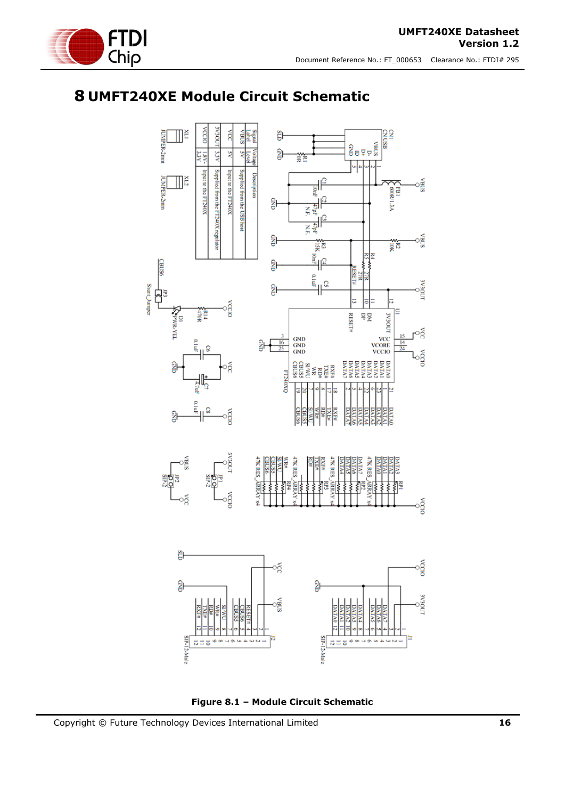

## <span id="page-15-0"></span>**8 UMFT240XE Module Circuit Schematic**



<span id="page-15-1"></span>**Figure 8.1 – Module Circuit Schematic**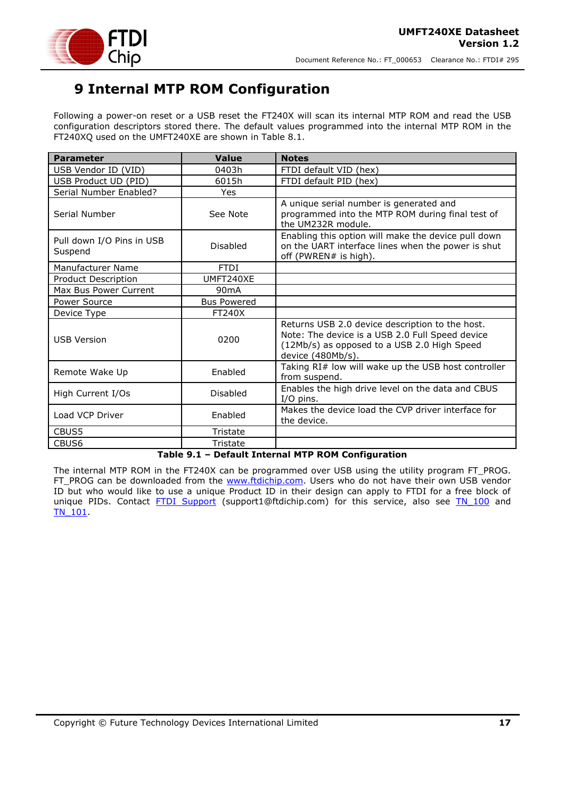

## <span id="page-16-0"></span>**9 Internal MTP ROM Configuration**

Following a power-on reset or a USB reset the FT240X will scan its internal MTP ROM and read the USB configuration descriptors stored there. The default values programmed into the internal MTP ROM in the FT240XQ used on the UMFT240XE are shown in Table 8.1.

| <b>Parameter</b>                     | <b>Value</b>       | <b>Notes</b>                                                                                                                                                           |
|--------------------------------------|--------------------|------------------------------------------------------------------------------------------------------------------------------------------------------------------------|
| USB Vendor ID (VID)                  | 0403h              | FTDI default VID (hex)                                                                                                                                                 |
| USB Product UD (PID)                 | 6015h              | FTDI default PID (hex)                                                                                                                                                 |
| Serial Number Enabled?               | Yes                |                                                                                                                                                                        |
| Serial Number                        | See Note           | A unique serial number is generated and<br>programmed into the MTP ROM during final test of<br>the UM232R module.                                                      |
| Pull down I/O Pins in USB<br>Suspend | Disabled           | Enabling this option will make the device pull down<br>on the UART interface lines when the power is shut<br>off (PWREN# is high).                                     |
| Manufacturer Name                    | <b>FTDI</b>        |                                                                                                                                                                        |
| Product Description                  | UMFT240XE          |                                                                                                                                                                        |
| Max Bus Power Current                | 90 <sub>m</sub> A  |                                                                                                                                                                        |
| Power Source                         | <b>Bus Powered</b> |                                                                                                                                                                        |
| Device Type                          | <b>FT240X</b>      |                                                                                                                                                                        |
| <b>USB Version</b>                   | 0200               | Returns USB 2.0 device description to the host.<br>Note: The device is a USB 2.0 Full Speed device<br>(12Mb/s) as opposed to a USB 2.0 High Speed<br>device (480Mb/s). |
| Remote Wake Up                       | Enabled            | Taking RI# low will wake up the USB host controller<br>from suspend.                                                                                                   |
| High Current I/Os                    | Disabled           | Enables the high drive level on the data and CBUS<br>$I/O$ pins.                                                                                                       |
| Load VCP Driver                      | Enabled            | Makes the device load the CVP driver interface for<br>the device.                                                                                                      |
| CBUS5                                | Tristate           |                                                                                                                                                                        |
| CBUS6                                | Tristate           |                                                                                                                                                                        |

#### **Table 9.1 – Default Internal MTP ROM Configuration**

<span id="page-16-1"></span>The internal MTP ROM in the FT240X can be programmed over USB using the utility program FT\_PROG. FT\_PROG can be downloaded from the [www.ftdichip.com.](http://www.ftdichip.com/) Users who do not have their own USB vendor ID but who would like to use a unique Product ID in their design can apply to FTDI for a free block of unique PIDs. Contact [FTDI Support](mailto:support1@ftdichip.com?subject=UM232R%20Free%20Block%20of%20Unique%20PIDs) (support1@ftdichip.com) for this service, also see TN 100 and [TN\\_101.](http://www.ftdichip.com/Support/Documents/TechnicalNotes/TN_104_Guide%20to%20Debugging_Customers_Failed_Driver_%20Installation_%20on_%20Windows.pdf)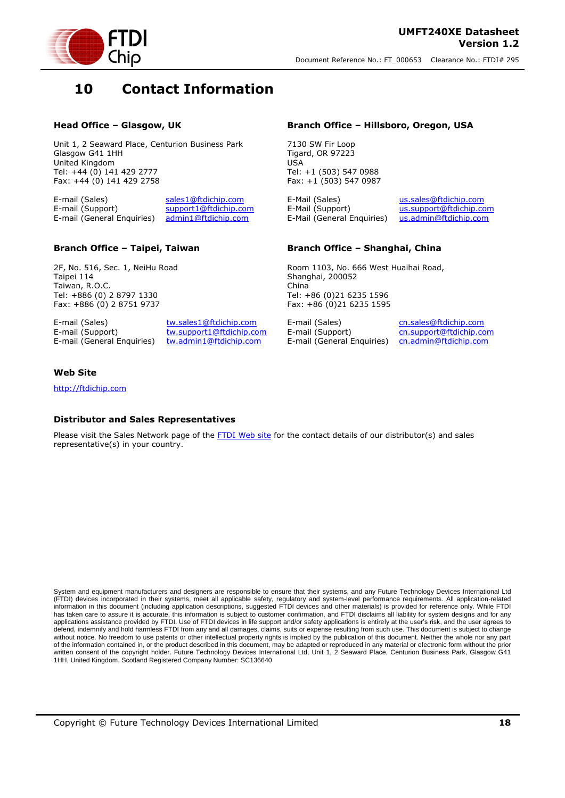

### <span id="page-17-0"></span>**10 Contact Information**

#### **Head Office – Glasgow, UK**

Unit 1, 2 Seaward Place, Centurion Business Park Glasgow G41 1HH United Kingdom Tel: +44 (0) 141 429 2777 Fax: +44 (0) 141 429 2758

E-mail (Sales) [sales1@ftdichip.com](mailto:sales1@ftdichip.com) E-mail (Support) [support1@ftdichip.com](mailto:support1@ftdichip.com) E-mail (General Enquiries) [admin1@ftdichip.com](mailto:admin1@ftdichip.com)

#### **Branch Office – Taipei, Taiwan**

2F, No. 516, Sec. 1, NeiHu Road Taipei 114 Taiwan, R.O.C. Tel: +886 (0) 2 8797 1330 Fax: +886 (0) 2 8751 9737

E-mail (Sales) [tw.sales1@ftdichip.com](mailto:tw.sales1@ftdichip.com)

E-mail (Support) [tw.support1@ftdichip.com](mailto:tw.support1@ftdichip.com) E-mail (General Enquiries) [tw.admin1@ftdichip.com](mailto:tw.admin1@ftdichip.com)

#### **Branch Office – Hillsboro, Oregon, USA**

7130 SW Fir Loop Tigard, OR 97223 USA Tel: +1 (503) 547 0988 Fax: +1 (503) 547 0987

E-Mail (Sales) [us.sales@ftdichip.com](mailto:us.sales@ftdichip.com) E-Mail (Support) [us.support@ftdichip.com](mailto:us.support@ftdichip.com) E-Mail (General Enquiries) [us.admin@ftdichip.com](mailto:us.admin@ftdichip.com)

#### **Branch Office – Shanghai, China**

Room 1103, No. 666 West Huaihai Road, Shanghai, 200052 China Tel: +86 (0)21 6235 1596 Fax: +86 (0)21 6235 1595

E-mail (Sales) [cn.sales@ftdichip.com](mailto:cn.sales@ftdichip.com) E-mail (Support) [cn.support@ftdichip.com](mailto:cn.support@ftdichip.com) E-mail (General Enquiries) [cn.admin@ftdichip.com](mailto:cn.admin@ftdichip.com)

#### **Web Site**

[http://ftdichip.com](http://ftdichip.com/)

#### **Distributor and Sales Representatives**

Please visit the Sales Network page of the [FTDI Web site](http://ftdichip.com/FTSalesNetwork.htm) for the contact details of our distributor(s) and sales representative(s) in your country.

System and equipment manufacturers and designers are responsible to ensure that their systems, and any Future Technology Devices International Ltd (FTDI) devices incorporated in their systems, meet all applicable safety, regulatory and system-level performance requirements. All application-related information in this document (including application descriptions, suggested FTDI devices and other materials) is provided for reference only. While FTDI has taken care to assure it is accurate, this information is subject to customer confirmation, and FTDI disclaims all liability for system designs and for any applications assistance provided by FTDI. Use of FTDI devices in life support and/or safety applications is entirely at the user's risk, and the user agrees to defend, indemnify and hold harmless FTDI from any and all damages, claims, suits or expense resulting from such use. This document is subject to change without notice. No freedom to use patents or other intellectual property rights is implied by the publication of this document. Neither the whole nor any part of the information contained in, or the product described in this document, may be adapted or reproduced in any material or electronic form without the prior written consent of the copyright holder. Future Technology Devices International Ltd, Unit 1, 2 Seaward Place, Centurion Business Park, Glasgow G41 1HH, United Kingdom. Scotland Registered Company Number: SC136640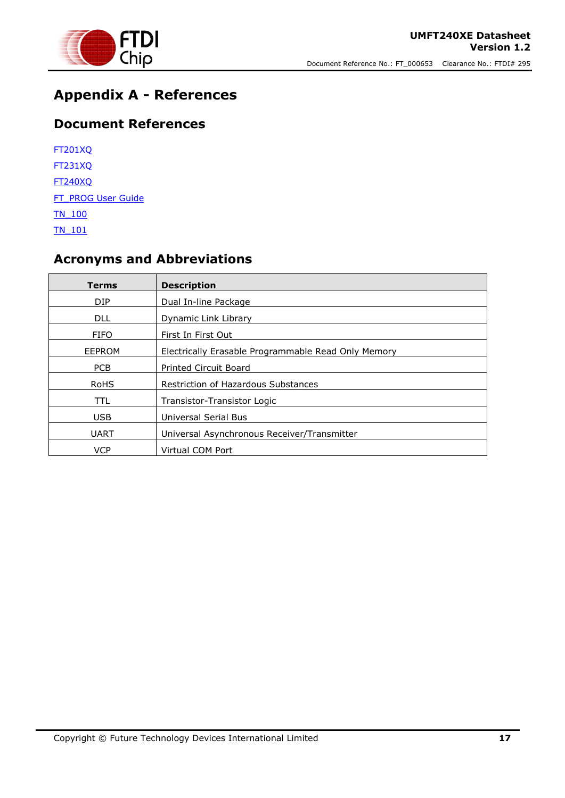

## <span id="page-18-0"></span>**Appendix A - References**

### <span id="page-18-1"></span>**Document References**

| <b>FT201XO</b>     |
|--------------------|
| <b>FT231XQ</b>     |
| <b>FT240XO</b>     |
| FT PROG User Guide |
| <b>TN 100</b>      |
| TN 101             |

## <span id="page-18-2"></span>**Acronyms and Abbreviations**

| Terms       | <b>Description</b>                                  |
|-------------|-----------------------------------------------------|
| DIP         | Dual In-line Package                                |
| <b>DLL</b>  | Dynamic Link Library                                |
| <b>FIFO</b> | First In First Out                                  |
| EEPROM      | Electrically Erasable Programmable Read Only Memory |
| <b>PCB</b>  | <b>Printed Circuit Board</b>                        |
| <b>RoHS</b> | <b>Restriction of Hazardous Substances</b>          |
| TTL.        | Transistor-Transistor Logic                         |
| <b>USB</b>  | Universal Serial Bus                                |
| <b>UART</b> | Universal Asynchronous Receiver/Transmitter         |
| <b>VCP</b>  | Virtual COM Port                                    |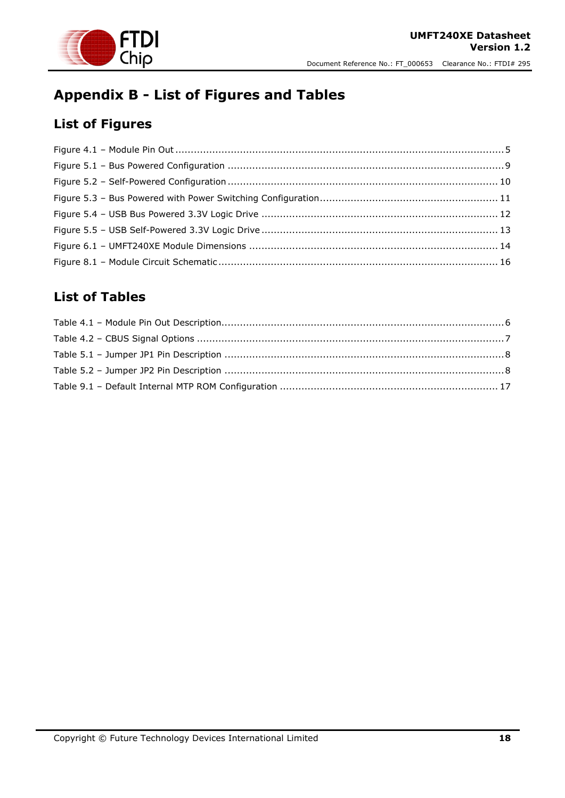

## <span id="page-19-0"></span>**Appendix B - List of Figures and Tables**

## <span id="page-19-1"></span>**List of Figures**

### <span id="page-19-2"></span>**List of Tables**